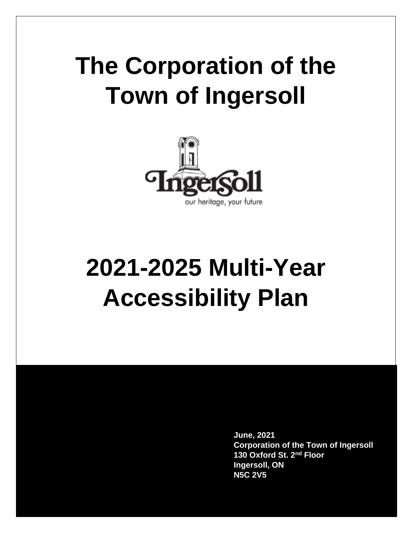# **The Corporation of the Town of Ingersoll**



# **2021-2025 Multi-Year Accessibility Plan**

**June, 2021 Corporation of the Town of Ingersoll 130 Oxford St. 2nd Floor Ingersoll, ON N5C 2V5**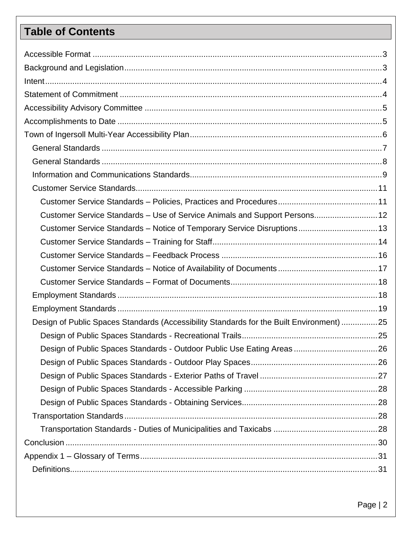## **Table of Contents**

| Customer Service Standards - Use of Service Animals and Support Persons 12               |  |
|------------------------------------------------------------------------------------------|--|
| Customer Service Standards - Notice of Temporary Service Disruptions 13                  |  |
|                                                                                          |  |
|                                                                                          |  |
|                                                                                          |  |
|                                                                                          |  |
|                                                                                          |  |
|                                                                                          |  |
| Design of Public Spaces Standards (Accessibility Standards for the Built Environment) 25 |  |
|                                                                                          |  |
|                                                                                          |  |
|                                                                                          |  |
|                                                                                          |  |
|                                                                                          |  |
|                                                                                          |  |
|                                                                                          |  |
|                                                                                          |  |
|                                                                                          |  |
|                                                                                          |  |
|                                                                                          |  |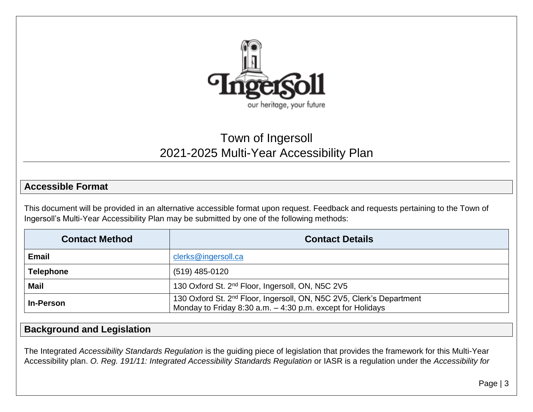

## Town of Ingersoll 2021-2025 Multi-Year Accessibility Plan

#### **Accessible Format**

This document will be provided in an alternative accessible format upon request. Feedback and requests pertaining to the Town of Ingersoll's Multi-Year Accessibility Plan may be submitted by one of the following methods:

| <b>Contact Method</b> | <b>Contact Details</b>                                                                                                                           |
|-----------------------|--------------------------------------------------------------------------------------------------------------------------------------------------|
| <b>Email</b>          | clerks@ingersoll.ca                                                                                                                              |
| <b>Telephone</b>      | (519) 485-0120                                                                                                                                   |
| <b>Mail</b>           | 130 Oxford St. 2 <sup>nd</sup> Floor, Ingersoll, ON, N5C 2V5                                                                                     |
| <b>In-Person</b>      | 130 Oxford St. 2 <sup>nd</sup> Floor, Ingersoll, ON, N5C 2V5, Clerk's Department<br>Monday to Friday 8:30 a.m. $-$ 4:30 p.m. except for Holidays |

#### <span id="page-2-0"></span>**Background and Legislation**

<span id="page-2-1"></span>The Integrated *Accessibility Standards Regulation* is the guiding piece of legislation that provides the framework for this Multi-Year Accessibility plan. *O. Reg. 191/11: Integrated Accessibility Standards Regulation* or IASR is a regulation under the *Accessibility for*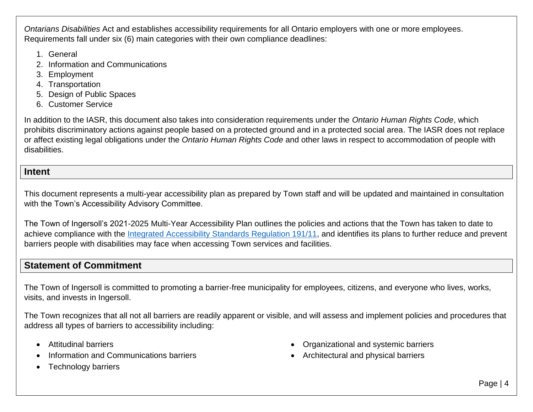*Ontarians Disabilities* Act and establishes accessibility requirements for all Ontario employers with one or more employees. Requirements fall under six (6) main categories with their own compliance deadlines:

- 1. General
- 2. Information and Communications
- 3. Employment
- 4. Transportation
- 5. Design of Public Spaces
- 6. Customer Service

In addition to the IASR, this document also takes into consideration requirements under the *Ontario Human Rights Code*, which prohibits discriminatory actions against people based on a protected ground and in a protected social area. The IASR does not replace or affect existing legal obligations under the *Ontario Human Rights Code* and other laws in respect to accommodation of people with disabilities.

#### **Intent**

This document represents a multi-year accessibility plan as prepared by Town staff and will be updated and maintained in consultation with the Town's Accessibility Advisory Committee.

The Town of Ingersoll's 2021-2025 Multi-Year Accessibility Plan outlines the policies and actions that the Town has taken to date to achieve compliance with the [Integrated Accessibility Standards Regulation 191/11,](https://www.ontario.ca/laws/regulation/110191) and identifies its plans to further reduce and prevent barriers people with disabilities may face when accessing Town services and facilities.

#### **Statement of Commitment**

<span id="page-3-0"></span>The Town of Ingersoll is committed to promoting a barrier-free municipality for employees, citizens, and everyone who lives, works, visits, and invests in Ingersoll.

The Town recognizes that all not all barriers are readily apparent or visible, and will assess and implement policies and procedures that address all types of barriers to accessibility including:

- Attitudinal barriers
- Information and Communications barriers
- <span id="page-3-1"></span>• Technology barriers
- Organizational and systemic barriers
- Architectural and physical barriers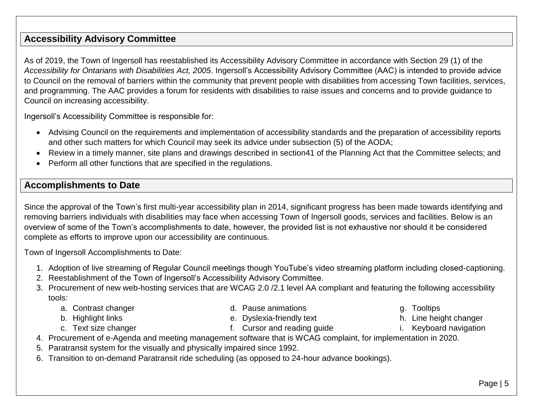#### **Accessibility Advisory Committee**

As of 2019, the Town of Ingersoll has reestablished its Accessibility Advisory Committee in accordance with Section 29 (1) of the *Accessibility for Ontarians with Disabilities Act, 2005*. Ingersoll's Accessibility Advisory Committee (AAC) is intended to provide advice to Council on the removal of barriers within the community that prevent people with disabilities from accessing Town facilities, services, and programming. The AAC provides a forum for residents with disabilities to raise issues and concerns and to provide guidance to Council on increasing accessibility.

Ingersoll's Accessibility Committee is responsible for:

- Advising Council on the requirements and implementation of accessibility standards and the preparation of accessibility reports and other such matters for which Council may seek its advice under subsection (5) of the AODA;
- <span id="page-4-0"></span>Review in a timely manner, site plans and drawings described in section41 of the Planning Act that the Committee selects; and
- Perform all other functions that are specified in the regulations.

#### **Accomplishments to Date**

Since the approval of the Town's first multi-year accessibility plan in 2014, significant progress has been made towards identifying and removing barriers individuals with disabilities may face when accessing Town of Ingersoll goods, services and facilities. Below is an overview of some of the Town's accomplishments to date, however, the provided list is not exhaustive nor should it be considered complete as efforts to improve upon our accessibility are continuous.

Town of Ingersoll Accomplishments to Date:

- 1. Adoption of live streaming of Regular Council meetings though YouTube's video streaming platform including closed-captioning.
- 2. Reestablishment of the Town of Ingersoll's Accessibility Advisory Committee.
- <span id="page-4-1"></span>3. Procurement of new web-hosting services that are WCAG 2.0 /2.1 level AA compliant and featuring the following accessibility tools:
	- a. Contrast changer
	- b. Highlight links
	- c. Text size changer
- d. Pause animations
- e. Dyslexia-friendly text
- f. Cursor and reading guide
- 4. Procurement of e-Agenda and meeting management software that is WCAG complaint, for implementation in 2020.
- 5. Paratransit system for the visually and physically impaired since 1992.
- 6. Transition to on-demand Paratransit ride scheduling (as opposed to 24-hour advance bookings).
- g. Tooltips
- h. Line height changer
- i. Keyboard navigation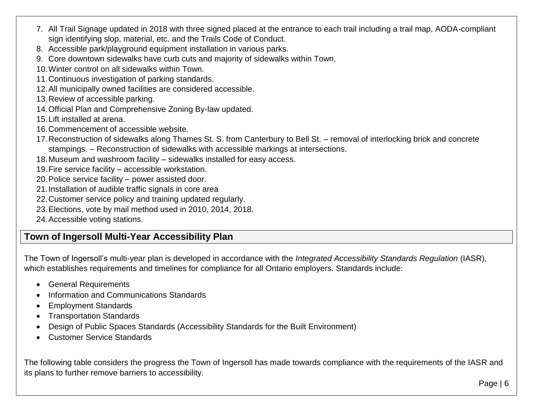- 7. All Trail Signage updated in 2018 with three signed placed at the entrance to each trail including a trail map, AODA-compliant sign identifying slop, material, etc. and the Trails Code of Conduct.
- 8. Accessible park/playground equipment installation in various parks.
- 9. Core downtown sidewalks have curb cuts and majority of sidewalks within Town.
- 10.Winter control on all sidewalks within Town.
- 11.Continuous investigation of parking standards.
- 12.All municipally owned facilities are considered accessible.
- 13.Review of accessible parking.
- 14.Official Plan and Comprehensive Zoning By-law updated.
- 15.Lift installed at arena.
- 16.Commencement of accessible website.
- 17.Reconstruction of sidewalks along Thames St. S. from Canterbury to Bell St. removal of interlocking brick and concrete stampings. – Reconstruction of sidewalks with accessible markings at intersections.
- 18.Museum and washroom facility sidewalks installed for easy access.
- 19.Fire service facility accessible workstation.
- 20.Police service facility power assisted door.
- 21.Installation of audible traffic signals in core area
- 22.Customer service policy and training updated regularly.
- 23.Elections, vote by mail method used in 2010, 2014, 2018.
- 24.Accessible voting stations.

## **Town of Ingersoll Multi-Year Accessibility Plan**

The Town of Ingersoll's multi-year plan is developed in accordance with the *Integrated Accessibility Standards Regulation* (IASR), which establishes requirements and timelines for compliance for all Ontario employers. Standards include:

- General Requirements
- Information and Communications Standards
- Employment Standards
- Transportation Standards
- Design of Public Spaces Standards (Accessibility Standards for the Built Environment)
- Customer Service Standards

<span id="page-5-0"></span>The following table considers the progress the Town of Ingersoll has made towards compliance with the requirements of the IASR and its plans to further remove barriers to accessibility.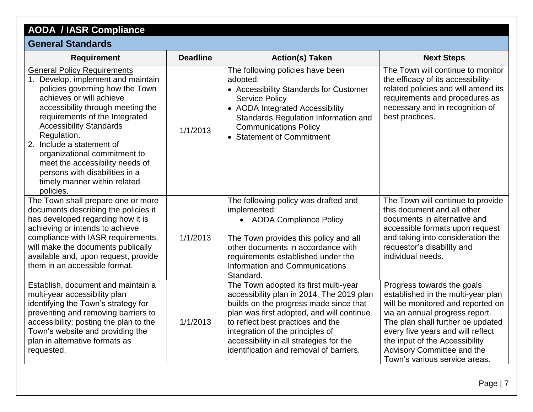## **AODA / IASR Compliance**

## **General Standards**

<span id="page-6-0"></span>

| <b>Requirement</b>                                                                                                                                                                                                                                                                                                                                                                                                                             | <b>Deadline</b> | <b>Action(s) Taken</b>                                                                                                                                                                                                                                                                                                                   | <b>Next Steps</b>                                                                                                                                                                                                                                                                                                  |
|------------------------------------------------------------------------------------------------------------------------------------------------------------------------------------------------------------------------------------------------------------------------------------------------------------------------------------------------------------------------------------------------------------------------------------------------|-----------------|------------------------------------------------------------------------------------------------------------------------------------------------------------------------------------------------------------------------------------------------------------------------------------------------------------------------------------------|--------------------------------------------------------------------------------------------------------------------------------------------------------------------------------------------------------------------------------------------------------------------------------------------------------------------|
| <b>General Policy Requirements</b><br>1. Develop, implement and maintain<br>policies governing how the Town<br>achieves or will achieve<br>accessibility through meeting the<br>requirements of the Integrated<br><b>Accessibility Standards</b><br>Regulation.<br>2. Include a statement of<br>organizational commitment to<br>meet the accessibility needs of<br>persons with disabilities in a<br>timely manner within related<br>policies. | 1/1/2013        | The following policies have been<br>adopted:<br>• Accessibility Standards for Customer<br><b>Service Policy</b><br>• AODA Integrated Accessibility<br>Standards Regulation Information and<br><b>Communications Policy</b><br><b>Statement of Commitment</b>                                                                             | The Town will continue to monitor<br>the efficacy of its accessibility-<br>related policies and will amend its<br>requirements and procedures as<br>necessary and in recognition of<br>best practices.                                                                                                             |
| The Town shall prepare one or more<br>documents describing the policies it<br>has developed regarding how it is<br>achieving or intends to achieve<br>compliance with IASR requirements,<br>will make the documents publically<br>available and, upon request, provide<br>them in an accessible format.                                                                                                                                        | 1/1/2013        | The following policy was drafted and<br>implemented:<br>• AODA Compliance Policy<br>The Town provides this policy and all<br>other documents in accordance with<br>requirements established under the<br>Information and Communications<br>Standard.                                                                                     | The Town will continue to provide<br>this document and all other<br>documents in alternative and<br>accessible formats upon request<br>and taking into consideration the<br>requestor's disability and<br>individual needs.                                                                                        |
| Establish, document and maintain a<br>multi-year accessibility plan<br>identifying the Town's strategy for<br>preventing and removing barriers to<br>accessibility; posting the plan to the<br>Town's website and providing the<br>plan in alternative formats as<br>requested.                                                                                                                                                                | 1/1/2013        | The Town adopted its first multi-year<br>accessibility plan in 2014. The 2019 plan<br>builds on the progress made since that<br>plan was first adopted, and will continue<br>to reflect best practices and the<br>integration of the principles of<br>accessibility in all strategies for the<br>identification and removal of barriers. | Progress towards the goals<br>established in the multi-year plan<br>will be monitored and reported on<br>via an annual progress report.<br>The plan shall further be updated<br>every five years and will reflect<br>the input of the Accessibility<br>Advisory Committee and the<br>Town's various service areas. |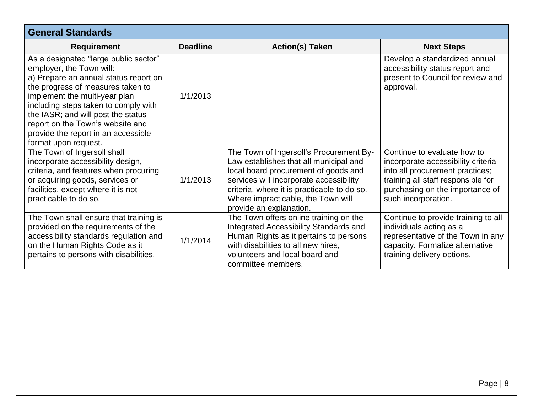<span id="page-7-0"></span>

| <b>General Standards</b>                                                                                                                                                                                                                                                                                                                                          |                 |                                                                                                                                                                                                                                                                                      |                                                                                                                                                                                                      |
|-------------------------------------------------------------------------------------------------------------------------------------------------------------------------------------------------------------------------------------------------------------------------------------------------------------------------------------------------------------------|-----------------|--------------------------------------------------------------------------------------------------------------------------------------------------------------------------------------------------------------------------------------------------------------------------------------|------------------------------------------------------------------------------------------------------------------------------------------------------------------------------------------------------|
| <b>Requirement</b>                                                                                                                                                                                                                                                                                                                                                | <b>Deadline</b> | <b>Action(s) Taken</b>                                                                                                                                                                                                                                                               | <b>Next Steps</b>                                                                                                                                                                                    |
| As a designated "large public sector"<br>employer, the Town will:<br>a) Prepare an annual status report on<br>the progress of measures taken to<br>implement the multi-year plan<br>including steps taken to comply with<br>the IASR; and will post the status<br>report on the Town's website and<br>provide the report in an accessible<br>format upon request. | 1/1/2013        |                                                                                                                                                                                                                                                                                      | Develop a standardized annual<br>accessibility status report and<br>present to Council for review and<br>approval.                                                                                   |
| The Town of Ingersoll shall<br>incorporate accessibility design,<br>criteria, and features when procuring<br>or acquiring goods, services or<br>facilities, except where it is not<br>practicable to do so.                                                                                                                                                       | 1/1/2013        | The Town of Ingersoll's Procurement By-<br>Law establishes that all municipal and<br>local board procurement of goods and<br>services will incorporate accessibility<br>criteria, where it is practicable to do so.<br>Where impracticable, the Town will<br>provide an explanation. | Continue to evaluate how to<br>incorporate accessibility criteria<br>into all procurement practices;<br>training all staff responsible for<br>purchasing on the importance of<br>such incorporation. |
| The Town shall ensure that training is<br>provided on the requirements of the<br>accessibility standards regulation and<br>on the Human Rights Code as it<br>pertains to persons with disabilities.                                                                                                                                                               | 1/1/2014        | The Town offers online training on the<br>Integrated Accessibility Standards and<br>Human Rights as it pertains to persons<br>with disabilities to all new hires,<br>volunteers and local board and<br>committee members.                                                            | Continue to provide training to all<br>individuals acting as a<br>representative of the Town in any<br>capacity. Formalize alternative<br>training delivery options.                                 |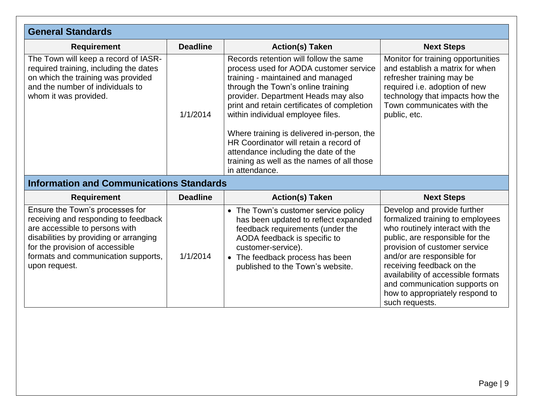<span id="page-8-0"></span>

| <b>General Standards</b>                                                                                                                                                                                                                       |                 |                                                                                                                                                                                                                                                                                                                                                                                                                                                                                        |                                                                                                                                                                                                                                                                                                                                                               |
|------------------------------------------------------------------------------------------------------------------------------------------------------------------------------------------------------------------------------------------------|-----------------|----------------------------------------------------------------------------------------------------------------------------------------------------------------------------------------------------------------------------------------------------------------------------------------------------------------------------------------------------------------------------------------------------------------------------------------------------------------------------------------|---------------------------------------------------------------------------------------------------------------------------------------------------------------------------------------------------------------------------------------------------------------------------------------------------------------------------------------------------------------|
| <b>Requirement</b>                                                                                                                                                                                                                             | <b>Deadline</b> | <b>Action(s) Taken</b>                                                                                                                                                                                                                                                                                                                                                                                                                                                                 | <b>Next Steps</b>                                                                                                                                                                                                                                                                                                                                             |
| The Town will keep a record of IASR-<br>required training, including the dates<br>on which the training was provided<br>and the number of individuals to<br>whom it was provided.                                                              | 1/1/2014        | Records retention will follow the same<br>process used for AODA customer service<br>training - maintained and managed<br>through the Town's online training<br>provider. Department Heads may also<br>print and retain certificates of completion<br>within individual employee files.<br>Where training is delivered in-person, the<br>HR Coordinator will retain a record of<br>attendance including the date of the<br>training as well as the names of all those<br>in attendance. | Monitor for training opportunities<br>and establish a matrix for when<br>refresher training may be<br>required i.e. adoption of new<br>technology that impacts how the<br>Town communicates with the<br>public, etc.                                                                                                                                          |
| <b>Information and Communications Standards</b>                                                                                                                                                                                                |                 |                                                                                                                                                                                                                                                                                                                                                                                                                                                                                        |                                                                                                                                                                                                                                                                                                                                                               |
| <b>Requirement</b>                                                                                                                                                                                                                             | <b>Deadline</b> | <b>Action(s) Taken</b>                                                                                                                                                                                                                                                                                                                                                                                                                                                                 | <b>Next Steps</b>                                                                                                                                                                                                                                                                                                                                             |
| Ensure the Town's processes for<br>receiving and responding to feedback<br>are accessible to persons with<br>disabilities by providing or arranging<br>for the provision of accessible<br>formats and communication supports,<br>upon request. | 1/1/2014        | • The Town's customer service policy<br>has been updated to reflect expanded<br>feedback requirements (under the<br>AODA feedback is specific to<br>customer-service).<br>• The feedback process has been<br>published to the Town's website.                                                                                                                                                                                                                                          | Develop and provide further<br>formalized training to employees<br>who routinely interact with the<br>public, are responsible for the<br>provision of customer service<br>and/or are responsible for<br>receiving feedback on the<br>availability of accessible formats<br>and communication supports on<br>how to appropriately respond to<br>such requests. |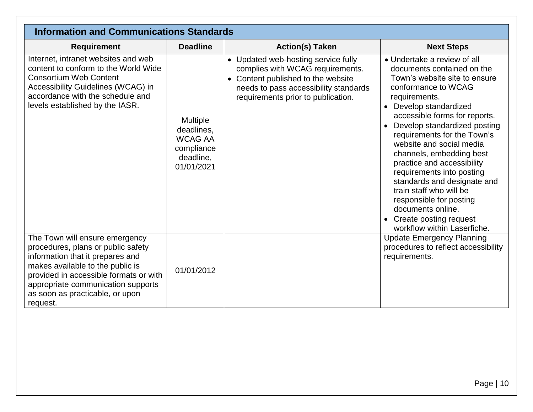| <b>Information and Communications Standards</b>                                                                                                                                                                                                                             |                                                                                   |                                                                                                                                                                                            |                                                                                                                                                                                                                                                                                                                                                                                                                                                                                                                                                  |
|-----------------------------------------------------------------------------------------------------------------------------------------------------------------------------------------------------------------------------------------------------------------------------|-----------------------------------------------------------------------------------|--------------------------------------------------------------------------------------------------------------------------------------------------------------------------------------------|--------------------------------------------------------------------------------------------------------------------------------------------------------------------------------------------------------------------------------------------------------------------------------------------------------------------------------------------------------------------------------------------------------------------------------------------------------------------------------------------------------------------------------------------------|
| <b>Requirement</b>                                                                                                                                                                                                                                                          | <b>Deadline</b>                                                                   | <b>Action(s) Taken</b>                                                                                                                                                                     | <b>Next Steps</b>                                                                                                                                                                                                                                                                                                                                                                                                                                                                                                                                |
| Internet, intranet websites and web<br>content to conform to the World Wide<br><b>Consortium Web Content</b><br>Accessibility Guidelines (WCAG) in<br>accordance with the schedule and<br>levels established by the IASR.                                                   | Multiple<br>deadlines,<br><b>WCAG AA</b><br>compliance<br>deadline.<br>01/01/2021 | • Updated web-hosting service fully<br>complies with WCAG requirements.<br>Content published to the website<br>needs to pass accessibility standards<br>requirements prior to publication. | • Undertake a review of all<br>documents contained on the<br>Town's website site to ensure<br>conformance to WCAG<br>requirements.<br>Develop standardized<br>accessible forms for reports.<br>Develop standardized posting<br>requirements for the Town's<br>website and social media<br>channels, embedding best<br>practice and accessibility<br>requirements into posting<br>standards and designate and<br>train staff who will be<br>responsible for posting<br>documents online.<br>Create posting request<br>workflow within Laserfiche. |
| The Town will ensure emergency<br>procedures, plans or public safety<br>information that it prepares and<br>makes available to the public is<br>provided in accessible formats or with<br>appropriate communication supports<br>as soon as practicable, or upon<br>request. | 01/01/2012                                                                        |                                                                                                                                                                                            | <b>Update Emergency Planning</b><br>procedures to reflect accessibility<br>requirements.                                                                                                                                                                                                                                                                                                                                                                                                                                                         |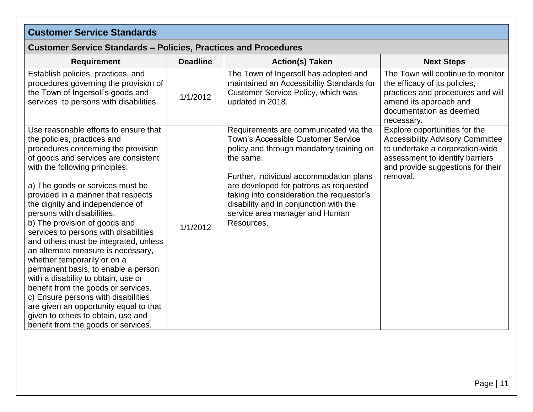## **Customer Service Standards**

#### **Customer Service Standards – Policies, Practices and Procedures**

<span id="page-10-1"></span><span id="page-10-0"></span>

| <b>Requirement</b>                                                                                                                                                                                                                                                                                                                                                                                                                                                                                                                                                                                                                                                                                                                                                                                          | <b>Deadline</b> | <b>Action(s) Taken</b>                                                                                                                                                                                                                                                                                                                                           | <b>Next Steps</b>                                                                                                                                                                               |
|-------------------------------------------------------------------------------------------------------------------------------------------------------------------------------------------------------------------------------------------------------------------------------------------------------------------------------------------------------------------------------------------------------------------------------------------------------------------------------------------------------------------------------------------------------------------------------------------------------------------------------------------------------------------------------------------------------------------------------------------------------------------------------------------------------------|-----------------|------------------------------------------------------------------------------------------------------------------------------------------------------------------------------------------------------------------------------------------------------------------------------------------------------------------------------------------------------------------|-------------------------------------------------------------------------------------------------------------------------------------------------------------------------------------------------|
| Establish policies, practices, and<br>procedures governing the provision of<br>the Town of Ingersoll's goods and<br>services to persons with disabilities                                                                                                                                                                                                                                                                                                                                                                                                                                                                                                                                                                                                                                                   | 1/1/2012        | The Town of Ingersoll has adopted and<br>maintained an Accessibility Standards for<br>Customer Service Policy, which was<br>updated in 2018.                                                                                                                                                                                                                     | The Town will continue to monitor<br>the efficacy of its policies,<br>practices and procedures and will<br>amend its approach and<br>documentation as deemed<br>necessary.                      |
| Use reasonable efforts to ensure that<br>the policies, practices and<br>procedures concerning the provision<br>of goods and services are consistent<br>with the following principles:<br>a) The goods or services must be<br>provided in a manner that respects<br>the dignity and independence of<br>persons with disabilities.<br>b) The provision of goods and<br>services to persons with disabilities<br>and others must be integrated, unless<br>an alternate measure is necessary,<br>whether temporarily or on a<br>permanent basis, to enable a person<br>with a disability to obtain, use or<br>benefit from the goods or services.<br>c) Ensure persons with disabilities<br>are given an opportunity equal to that<br>given to others to obtain, use and<br>benefit from the goods or services. | 1/1/2012        | Requirements are communicated via the<br>Town's Accessible Customer Service<br>policy and through mandatory training on<br>the same.<br>Further, individual accommodation plans<br>are developed for patrons as requested<br>taking into consideration the requestor's<br>disability and in conjunction with the<br>service area manager and Human<br>Resources. | Explore opportunities for the<br><b>Accessibility Advisory Committee</b><br>to undertake a corporation-wide<br>assessment to identify barriers<br>and provide suggestions for their<br>removal. |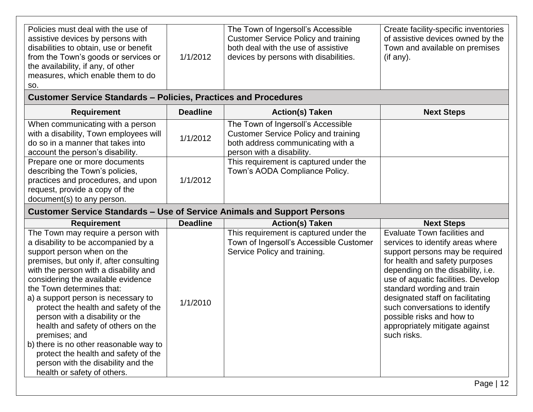| Policies must deal with the use of<br>assistive devices by persons with<br>disabilities to obtain, use or benefit<br>from the Town's goods or services or<br>the availability, if any, of other<br>measures, which enable them to do<br>SO. | The Town of Ingersoll's Accessible<br><b>Customer Service Policy and training</b><br>both deal with the use of assistive<br>1/1/2012<br>devices by persons with disabilities. | Create facility-specific inventories<br>of assistive devices owned by the<br>Town and available on premises<br>(if any). |
|---------------------------------------------------------------------------------------------------------------------------------------------------------------------------------------------------------------------------------------------|-------------------------------------------------------------------------------------------------------------------------------------------------------------------------------|--------------------------------------------------------------------------------------------------------------------------|
|---------------------------------------------------------------------------------------------------------------------------------------------------------------------------------------------------------------------------------------------|-------------------------------------------------------------------------------------------------------------------------------------------------------------------------------|--------------------------------------------------------------------------------------------------------------------------|

### **Customer Service Standards – Policies, Practices and Procedures**

| <b>Requirement</b>                                                                                                                                                     | <b>Deadline</b> | <b>Action(s) Taken</b>                                                                                                                              | <b>Next Steps</b> |
|------------------------------------------------------------------------------------------------------------------------------------------------------------------------|-----------------|-----------------------------------------------------------------------------------------------------------------------------------------------------|-------------------|
| When communicating with a person<br>with a disability, Town employees will<br>do so in a manner that takes into<br>account the person's disability.                    | 1/1/2012        | The Town of Ingersoll's Accessible<br><b>Customer Service Policy and training</b><br>both address communicating with a<br>person with a disability. |                   |
| Prepare one or more documents<br>describing the Town's policies,<br>practices and procedures, and upon<br>request, provide a copy of the<br>document(s) to any person. | 1/1/2012        | This requirement is captured under the<br>Town's AODA Compliance Policy.                                                                            |                   |

### **Customer Service Standards – Use of Service Animals and Support Persons**

<span id="page-11-0"></span>

| <b>Requirement</b>                                                                                                                                                                                                                                                                                                                                                                                                                                                                                                                                                                             | <b>Deadline</b> | <b>Action(s) Taken</b>                                                                                            | <b>Next Steps</b>                                                                                                                                                                                                                                                                                                                                                                                  |
|------------------------------------------------------------------------------------------------------------------------------------------------------------------------------------------------------------------------------------------------------------------------------------------------------------------------------------------------------------------------------------------------------------------------------------------------------------------------------------------------------------------------------------------------------------------------------------------------|-----------------|-------------------------------------------------------------------------------------------------------------------|----------------------------------------------------------------------------------------------------------------------------------------------------------------------------------------------------------------------------------------------------------------------------------------------------------------------------------------------------------------------------------------------------|
| The Town may require a person with<br>a disability to be accompanied by a<br>support person when on the<br>premises, but only if, after consulting<br>with the person with a disability and<br>considering the available evidence<br>the Town determines that:<br>a) a support person is necessary to<br>protect the health and safety of the<br>person with a disability or the<br>health and safety of others on the<br>premises; and<br>b) there is no other reasonable way to<br>protect the health and safety of the<br>person with the disability and the<br>health or safety of others. | 1/1/2010        | This requirement is captured under the<br>Town of Ingersoll's Accessible Customer<br>Service Policy and training. | Evaluate Town facilities and<br>services to identify areas where<br>support persons may be required<br>for health and safety purposes<br>depending on the disability, i.e.<br>use of aquatic facilities. Develop<br>standard wording and train<br>designated staff on facilitating<br>such conversations to identify<br>possible risks and how to<br>appropriately mitigate against<br>such risks. |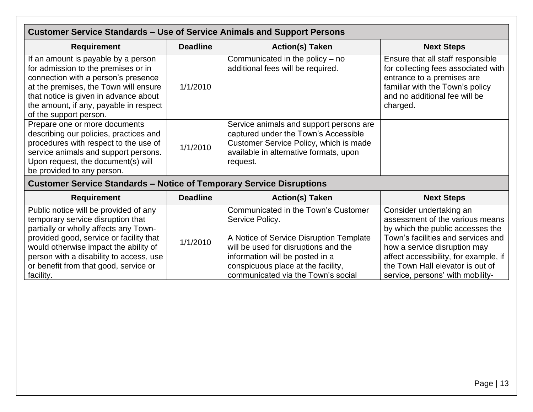<span id="page-12-0"></span>

| <b>Customer Service Standards - Use of Service Animals and Support Persons</b>                                                                                                                                                                                                                           |                 |                                                                                                                                                                                                                                                          |                                                                                                                                                                                                                                                                                       |  |
|----------------------------------------------------------------------------------------------------------------------------------------------------------------------------------------------------------------------------------------------------------------------------------------------------------|-----------------|----------------------------------------------------------------------------------------------------------------------------------------------------------------------------------------------------------------------------------------------------------|---------------------------------------------------------------------------------------------------------------------------------------------------------------------------------------------------------------------------------------------------------------------------------------|--|
| <b>Requirement</b>                                                                                                                                                                                                                                                                                       | <b>Deadline</b> | <b>Action(s) Taken</b>                                                                                                                                                                                                                                   | <b>Next Steps</b>                                                                                                                                                                                                                                                                     |  |
| If an amount is payable by a person<br>for admission to the premises or in<br>connection with a person's presence<br>at the premises, the Town will ensure<br>that notice is given in advance about<br>the amount, if any, payable in respect<br>of the support person.                                  | 1/1/2010        | Communicated in the policy $-$ no<br>additional fees will be required.                                                                                                                                                                                   | Ensure that all staff responsible<br>for collecting fees associated with<br>entrance to a premises are<br>familiar with the Town's policy<br>and no additional fee will be<br>charged.                                                                                                |  |
| Prepare one or more documents<br>describing our policies, practices and<br>procedures with respect to the use of<br>service animals and support persons.<br>Upon request, the document(s) will<br>be provided to any person.                                                                             | 1/1/2010        | Service animals and support persons are<br>captured under the Town's Accessible<br>Customer Service Policy, which is made<br>available in alternative formats, upon<br>request.                                                                          |                                                                                                                                                                                                                                                                                       |  |
| <b>Customer Service Standards - Notice of Temporary Service Disruptions</b>                                                                                                                                                                                                                              |                 |                                                                                                                                                                                                                                                          |                                                                                                                                                                                                                                                                                       |  |
| <b>Requirement</b>                                                                                                                                                                                                                                                                                       | <b>Deadline</b> | <b>Action(s) Taken</b>                                                                                                                                                                                                                                   | <b>Next Steps</b>                                                                                                                                                                                                                                                                     |  |
| Public notice will be provided of any<br>temporary service disruption that<br>partially or wholly affects any Town-<br>provided good, service or facility that<br>would otherwise impact the ability of<br>person with a disability to access, use<br>or benefit from that good, service or<br>facility. | 1/1/2010        | Communicated in the Town's Customer<br>Service Policy.<br>A Notice of Service Disruption Template<br>will be used for disruptions and the<br>information will be posted in a<br>conspicuous place at the facility,<br>communicated via the Town's social | Consider undertaking an<br>assessment of the various means<br>by which the public accesses the<br>Town's facilities and services and<br>how a service disruption may<br>affect accessibility, for example, if<br>the Town Hall elevator is out of<br>service, persons' with mobility- |  |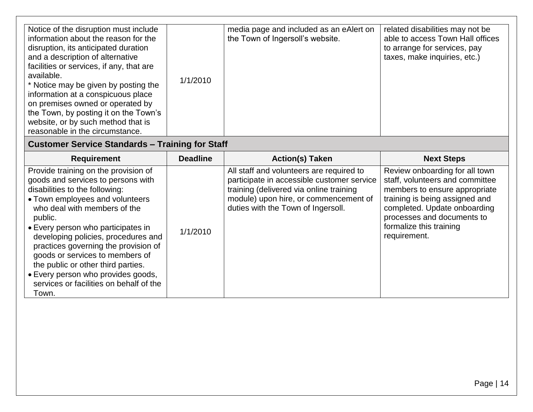## **Customer Service Standards – Training for Staff**

<span id="page-13-0"></span>

| <b>Requirement</b>                                                                                                                                                                                                                                                                                                                                                                                                                                                                 | <b>Deadline</b> | <b>Action(s) Taken</b>                                                                                                                                                                                           | <b>Next Steps</b>                                                                                                                                                                                                                             |
|------------------------------------------------------------------------------------------------------------------------------------------------------------------------------------------------------------------------------------------------------------------------------------------------------------------------------------------------------------------------------------------------------------------------------------------------------------------------------------|-----------------|------------------------------------------------------------------------------------------------------------------------------------------------------------------------------------------------------------------|-----------------------------------------------------------------------------------------------------------------------------------------------------------------------------------------------------------------------------------------------|
| Provide training on the provision of<br>goods and services to persons with<br>disabilities to the following:<br>• Town employees and volunteers<br>who deal with members of the<br>public.<br>• Every person who participates in<br>developing policies, procedures and<br>practices governing the provision of<br>goods or services to members of<br>the public or other third parties.<br>• Every person who provides goods,<br>services or facilities on behalf of the<br>Town. | 1/1/2010        | All staff and volunteers are required to<br>participate in accessible customer service<br>training (delivered via online training<br>module) upon hire, or commencement of<br>duties with the Town of Ingersoll. | Review onboarding for all town<br>staff, volunteers and committee<br>members to ensure appropriate<br>training is being assigned and<br>completed. Update onboarding<br>processes and documents to<br>formalize this training<br>requirement. |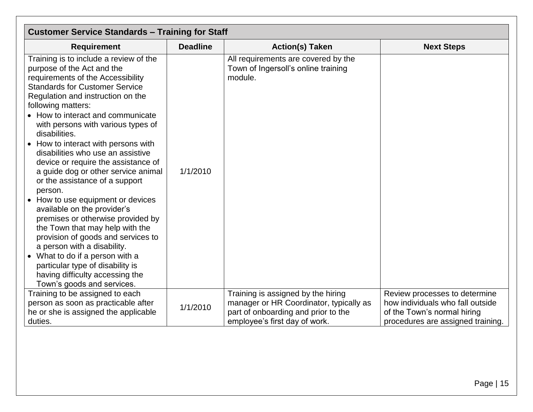| <b>Customer Service Standards - Training for Staff</b>                                                                                                                                                                                                                                                                                                                                                                                                                                                                                                                                                                                                                                                                                                                                                                                                                    |                 |                                                                                                                                                       |                                                                                                                                       |
|---------------------------------------------------------------------------------------------------------------------------------------------------------------------------------------------------------------------------------------------------------------------------------------------------------------------------------------------------------------------------------------------------------------------------------------------------------------------------------------------------------------------------------------------------------------------------------------------------------------------------------------------------------------------------------------------------------------------------------------------------------------------------------------------------------------------------------------------------------------------------|-----------------|-------------------------------------------------------------------------------------------------------------------------------------------------------|---------------------------------------------------------------------------------------------------------------------------------------|
| <b>Requirement</b>                                                                                                                                                                                                                                                                                                                                                                                                                                                                                                                                                                                                                                                                                                                                                                                                                                                        | <b>Deadline</b> | <b>Action(s) Taken</b>                                                                                                                                | <b>Next Steps</b>                                                                                                                     |
| Training is to include a review of the<br>purpose of the Act and the<br>requirements of the Accessibility<br><b>Standards for Customer Service</b><br>Regulation and instruction on the<br>following matters:<br>• How to interact and communicate<br>with persons with various types of<br>disabilities.<br>• How to interact with persons with<br>disabilities who use an assistive<br>device or require the assistance of<br>a guide dog or other service animal<br>or the assistance of a support<br>person.<br>• How to use equipment or devices<br>available on the provider's<br>premises or otherwise provided by<br>the Town that may help with the<br>provision of goods and services to<br>a person with a disability.<br>• What to do if a person with a<br>particular type of disability is<br>having difficulty accessing the<br>Town's goods and services. | 1/1/2010        | All requirements are covered by the<br>Town of Ingersoll's online training<br>module.                                                                 |                                                                                                                                       |
| Training to be assigned to each<br>person as soon as practicable after<br>he or she is assigned the applicable<br>duties.                                                                                                                                                                                                                                                                                                                                                                                                                                                                                                                                                                                                                                                                                                                                                 | 1/1/2010        | Training is assigned by the hiring<br>manager or HR Coordinator, typically as<br>part of onboarding and prior to the<br>employee's first day of work. | Review processes to determine<br>how individuals who fall outside<br>of the Town's normal hiring<br>procedures are assigned training. |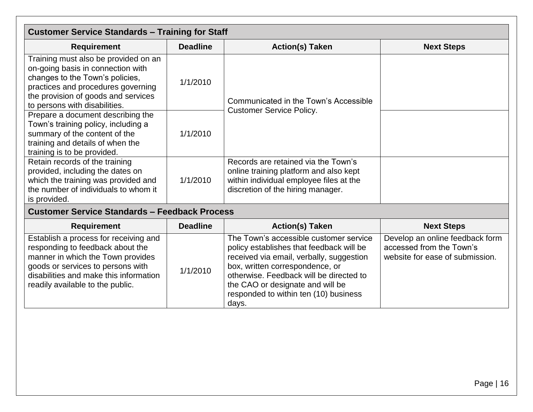| <b>Customer Service Standards - Training for Staff</b>                                                                                                                                                                     |                 |                                                                                                                                                               |                   |
|----------------------------------------------------------------------------------------------------------------------------------------------------------------------------------------------------------------------------|-----------------|---------------------------------------------------------------------------------------------------------------------------------------------------------------|-------------------|
| <b>Requirement</b>                                                                                                                                                                                                         | <b>Deadline</b> | <b>Action(s) Taken</b>                                                                                                                                        | <b>Next Steps</b> |
| Training must also be provided on an<br>on-going basis in connection with<br>changes to the Town's policies,<br>practices and procedures governing<br>the provision of goods and services<br>to persons with disabilities. | 1/1/2010        | Communicated in the Town's Accessible<br><b>Customer Service Policy.</b>                                                                                      |                   |
| Prepare a document describing the<br>Town's training policy, including a<br>summary of the content of the<br>training and details of when the<br>training is to be provided.                                               | 1/1/2010        |                                                                                                                                                               |                   |
| Retain records of the training<br>provided, including the dates on<br>which the training was provided and<br>the number of individuals to whom it<br>is provided.                                                          | 1/1/2010        | Records are retained via the Town's<br>online training platform and also kept<br>within individual employee files at the<br>discretion of the hiring manager. |                   |
| <b>Customer Service Standards - Feedback Process</b>                                                                                                                                                                       |                 |                                                                                                                                                               |                   |

<span id="page-15-0"></span>

| <b>Requirement</b>                                                                                                                                                                                                                | <b>Deadline</b> | <b>Action(s) Taken</b>                                                                                                                                                                                                                                                                             | <b>Next Steps</b>                                                                              |
|-----------------------------------------------------------------------------------------------------------------------------------------------------------------------------------------------------------------------------------|-----------------|----------------------------------------------------------------------------------------------------------------------------------------------------------------------------------------------------------------------------------------------------------------------------------------------------|------------------------------------------------------------------------------------------------|
| Establish a process for receiving and<br>responding to feedback about the<br>manner in which the Town provides<br>goods or services to persons with<br>disabilities and make this information<br>readily available to the public. | 1/1/2010        | The Town's accessible customer service<br>policy establishes that feedback will be<br>received via email, verbally, suggestion<br>box, written correspondence, or<br>otherwise. Feedback will be directed to<br>the CAO or designate and will be<br>responded to within ten (10) business<br>days. | Develop an online feedback form<br>accessed from the Town's<br>website for ease of submission. |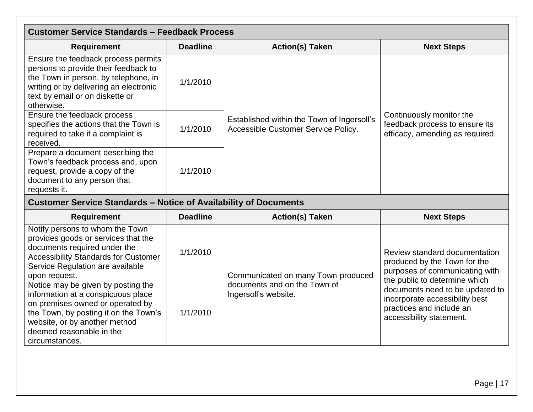<span id="page-16-0"></span>

| <b>Customer Service Standards - Feedback Process</b>                                                                                                                                                                                 |                 |                                                                                            |                                                                                                                                                                                                                                                               |
|--------------------------------------------------------------------------------------------------------------------------------------------------------------------------------------------------------------------------------------|-----------------|--------------------------------------------------------------------------------------------|---------------------------------------------------------------------------------------------------------------------------------------------------------------------------------------------------------------------------------------------------------------|
| <b>Requirement</b>                                                                                                                                                                                                                   | <b>Deadline</b> | <b>Action(s) Taken</b>                                                                     | <b>Next Steps</b>                                                                                                                                                                                                                                             |
| Ensure the feedback process permits<br>persons to provide their feedback to<br>the Town in person, by telephone, in<br>writing or by delivering an electronic<br>text by email or on diskette or<br>otherwise.                       | 1/1/2010        |                                                                                            |                                                                                                                                                                                                                                                               |
| Ensure the feedback process<br>specifies the actions that the Town is<br>required to take if a complaint is<br>received.                                                                                                             | 1/1/2010        | Established within the Town of Ingersoll's<br>Accessible Customer Service Policy.          | Continuously monitor the<br>feedback process to ensure its<br>efficacy, amending as required.                                                                                                                                                                 |
| Prepare a document describing the<br>Town's feedback process and, upon<br>request, provide a copy of the<br>document to any person that<br>requests it.                                                                              | 1/1/2010        |                                                                                            |                                                                                                                                                                                                                                                               |
| <b>Customer Service Standards - Notice of Availability of Documents</b>                                                                                                                                                              |                 |                                                                                            |                                                                                                                                                                                                                                                               |
| <b>Requirement</b>                                                                                                                                                                                                                   | <b>Deadline</b> | <b>Action(s) Taken</b>                                                                     | <b>Next Steps</b>                                                                                                                                                                                                                                             |
| Notify persons to whom the Town<br>provides goods or services that the<br>documents required under the<br><b>Accessibility Standards for Customer</b><br>Service Regulation are available<br>upon request.                           | 1/1/2010        | Communicated on many Town-produced<br>documents and on the Town of<br>Ingersoll's website. | Review standard documentation<br>produced by the Town for the<br>purposes of communicating with<br>the public to determine which<br>documents need to be updated to<br>incorporate accessibility best<br>practices and include an<br>accessibility statement. |
| Notice may be given by posting the<br>information at a conspicuous place<br>on premises owned or operated by<br>the Town, by posting it on the Town's<br>website, or by another method<br>deemed reasonable in the<br>circumstances. | 1/1/2010        |                                                                                            |                                                                                                                                                                                                                                                               |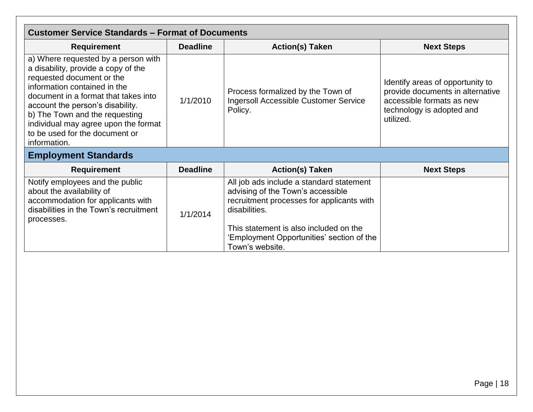<span id="page-17-1"></span><span id="page-17-0"></span>

| <b>Customer Service Standards - Format of Documents</b>                                                                                                                                                                                                                                                                                         |                 |                                                                                                                                                                                                                                                       |                                                                                                                                             |  |
|-------------------------------------------------------------------------------------------------------------------------------------------------------------------------------------------------------------------------------------------------------------------------------------------------------------------------------------------------|-----------------|-------------------------------------------------------------------------------------------------------------------------------------------------------------------------------------------------------------------------------------------------------|---------------------------------------------------------------------------------------------------------------------------------------------|--|
| <b>Requirement</b>                                                                                                                                                                                                                                                                                                                              | <b>Deadline</b> | <b>Action(s) Taken</b>                                                                                                                                                                                                                                | <b>Next Steps</b>                                                                                                                           |  |
| a) Where requested by a person with<br>a disability, provide a copy of the<br>requested document or the<br>information contained in the<br>document in a format that takes into<br>account the person's disability.<br>b) The Town and the requesting<br>individual may agree upon the format<br>to be used for the document or<br>information. | 1/1/2010        | Process formalized by the Town of<br><b>Ingersoll Accessible Customer Service</b><br>Policy.                                                                                                                                                          | Identify areas of opportunity to<br>provide documents in alternative<br>accessible formats as new<br>technology is adopted and<br>utilized. |  |
| <b>Employment Standards</b>                                                                                                                                                                                                                                                                                                                     |                 |                                                                                                                                                                                                                                                       |                                                                                                                                             |  |
| <b>Requirement</b>                                                                                                                                                                                                                                                                                                                              | <b>Deadline</b> | <b>Action(s) Taken</b>                                                                                                                                                                                                                                | <b>Next Steps</b>                                                                                                                           |  |
| Notify employees and the public<br>about the availability of<br>accommodation for applicants with<br>disabilities in the Town's recruitment<br>processes.                                                                                                                                                                                       | 1/1/2014        | All job ads include a standard statement<br>advising of the Town's accessible<br>recruitment processes for applicants with<br>disabilities.<br>This statement is also included on the<br>'Employment Opportunities' section of the<br>Town's website. |                                                                                                                                             |  |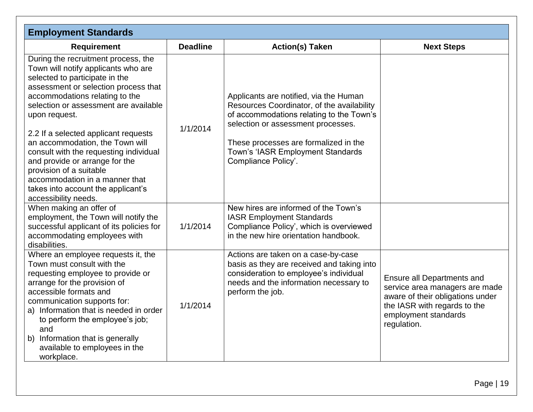<span id="page-18-0"></span>

| <b>Employment Standards</b>                                                                                                                                                                                                                                                                                                                                                                                                                                                                                                        |                 |                                                                                                                                                                                                                                                                             |                                                                                                                                                                         |
|------------------------------------------------------------------------------------------------------------------------------------------------------------------------------------------------------------------------------------------------------------------------------------------------------------------------------------------------------------------------------------------------------------------------------------------------------------------------------------------------------------------------------------|-----------------|-----------------------------------------------------------------------------------------------------------------------------------------------------------------------------------------------------------------------------------------------------------------------------|-------------------------------------------------------------------------------------------------------------------------------------------------------------------------|
| <b>Requirement</b>                                                                                                                                                                                                                                                                                                                                                                                                                                                                                                                 | <b>Deadline</b> | <b>Action(s) Taken</b>                                                                                                                                                                                                                                                      | <b>Next Steps</b>                                                                                                                                                       |
| During the recruitment process, the<br>Town will notify applicants who are<br>selected to participate in the<br>assessment or selection process that<br>accommodations relating to the<br>selection or assessment are available<br>upon request.<br>2.2 If a selected applicant requests<br>an accommodation, the Town will<br>consult with the requesting individual<br>and provide or arrange for the<br>provision of a suitable<br>accommodation in a manner that<br>takes into account the applicant's<br>accessibility needs. | 1/1/2014        | Applicants are notified, via the Human<br>Resources Coordinator, of the availability<br>of accommodations relating to the Town's<br>selection or assessment processes.<br>These processes are formalized in the<br>Town's 'IASR Employment Standards<br>Compliance Policy'. |                                                                                                                                                                         |
| When making an offer of<br>employment, the Town will notify the<br>successful applicant of its policies for<br>accommodating employees with<br>disabilities.                                                                                                                                                                                                                                                                                                                                                                       | 1/1/2014        | New hires are informed of the Town's<br><b>IASR Employment Standards</b><br>Compliance Policy', which is overviewed<br>in the new hire orientation handbook.                                                                                                                |                                                                                                                                                                         |
| Where an employee requests it, the<br>Town must consult with the<br>requesting employee to provide or<br>arrange for the provision of<br>accessible formats and<br>communication supports for:<br>a) Information that is needed in order<br>to perform the employee's job;<br>and<br>Information that is generally<br>b)<br>available to employees in the<br>workplace.                                                                                                                                                            | 1/1/2014        | Actions are taken on a case-by-case<br>basis as they are received and taking into<br>consideration to employee's individual<br>needs and the information necessary to<br>perform the job.                                                                                   | Ensure all Departments and<br>service area managers are made<br>aware of their obligations under<br>the IASR with regards to the<br>employment standards<br>regulation. |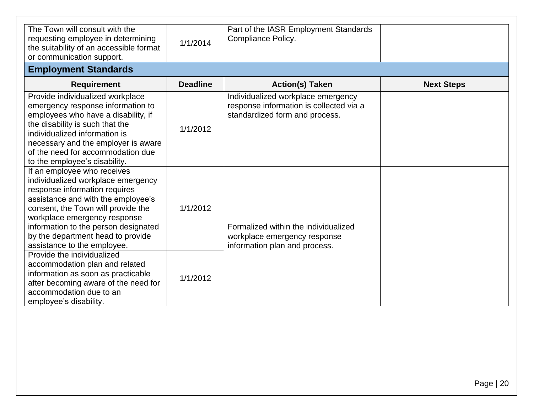| The Town will consult with the<br>requesting employee in determining<br>the suitability of an accessible format<br>or communication support.                                                                                                                                                                               | 1/1/2014        | Part of the IASR Employment Standards<br>Compliance Policy.                                                     |                   |
|----------------------------------------------------------------------------------------------------------------------------------------------------------------------------------------------------------------------------------------------------------------------------------------------------------------------------|-----------------|-----------------------------------------------------------------------------------------------------------------|-------------------|
| <b>Employment Standards</b>                                                                                                                                                                                                                                                                                                |                 |                                                                                                                 |                   |
| <b>Requirement</b>                                                                                                                                                                                                                                                                                                         | <b>Deadline</b> | <b>Action(s) Taken</b>                                                                                          | <b>Next Steps</b> |
| Provide individualized workplace<br>emergency response information to<br>employees who have a disability, if<br>the disability is such that the<br>individualized information is<br>necessary and the employer is aware<br>of the need for accommodation due<br>to the employee's disability.                              | 1/1/2012        | Individualized workplace emergency<br>response information is collected via a<br>standardized form and process. |                   |
| If an employee who receives<br>individualized workplace emergency<br>response information requires<br>assistance and with the employee's<br>consent, the Town will provide the<br>workplace emergency response<br>information to the person designated<br>by the department head to provide<br>assistance to the employee. | 1/1/2012        | Formalized within the individualized<br>workplace emergency response<br>information plan and process.           |                   |
| Provide the individualized<br>accommodation plan and related<br>information as soon as practicable<br>after becoming aware of the need for<br>accommodation due to an<br>employee's disability.                                                                                                                            | 1/1/2012        |                                                                                                                 |                   |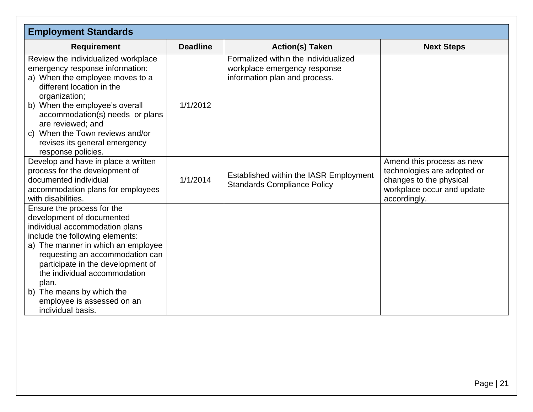| <b>Employment Standards</b>                                                                                                                                                                                                                                                                                                                                            |                 |                                                                                                       |                                                                                                                                   |
|------------------------------------------------------------------------------------------------------------------------------------------------------------------------------------------------------------------------------------------------------------------------------------------------------------------------------------------------------------------------|-----------------|-------------------------------------------------------------------------------------------------------|-----------------------------------------------------------------------------------------------------------------------------------|
| <b>Requirement</b>                                                                                                                                                                                                                                                                                                                                                     | <b>Deadline</b> | <b>Action(s) Taken</b>                                                                                | <b>Next Steps</b>                                                                                                                 |
| Review the individualized workplace<br>emergency response information:<br>a) When the employee moves to a<br>different location in the<br>organization;<br>b) When the employee's overall<br>accommodation(s) needs or plans<br>are reviewed; and<br>c) When the Town reviews and/or<br>revises its general emergency                                                  | 1/1/2012        | Formalized within the individualized<br>workplace emergency response<br>information plan and process. |                                                                                                                                   |
| response policies.                                                                                                                                                                                                                                                                                                                                                     |                 |                                                                                                       |                                                                                                                                   |
| Develop and have in place a written<br>process for the development of<br>documented individual<br>accommodation plans for employees<br>with disabilities.                                                                                                                                                                                                              | 1/1/2014        | Established within the IASR Employment<br><b>Standards Compliance Policy</b>                          | Amend this process as new<br>technologies are adopted or<br>changes to the physical<br>workplace occur and update<br>accordingly. |
| Ensure the process for the<br>development of documented<br>individual accommodation plans<br>include the following elements:<br>a) The manner in which an employee<br>requesting an accommodation can<br>participate in the development of<br>the individual accommodation<br>plan.<br>The means by which the<br>b)<br>employee is assessed on an<br>individual basis. |                 |                                                                                                       |                                                                                                                                   |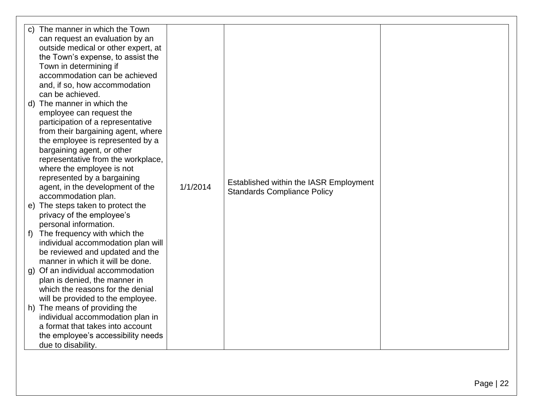| c) The manner in which the Town<br>can request an evaluation by an<br>outside medical or other expert, at<br>the Town's expense, to assist the<br>Town in determining if<br>accommodation can be achieved<br>and, if so, how accommodation<br>can be achieved.<br>d) The manner in which the<br>employee can request the<br>participation of a representative<br>from their bargaining agent, where<br>the employee is represented by a<br>bargaining agent, or other<br>representative from the workplace,<br>where the employee is not<br>represented by a bargaining<br>agent, in the development of the<br>accommodation plan.<br>e) The steps taken to protect the<br>privacy of the employee's<br>personal information.<br>The frequency with which the<br>f)<br>individual accommodation plan will<br>be reviewed and updated and the<br>manner in which it will be done.<br>g) Of an individual accommodation<br>plan is denied, the manner in<br>which the reasons for the denial<br>will be provided to the employee.<br>h) The means of providing the<br>individual accommodation plan in | 1/1/2014 | Established within the IASR Employment<br><b>Standards Compliance Policy</b> |  |
|------------------------------------------------------------------------------------------------------------------------------------------------------------------------------------------------------------------------------------------------------------------------------------------------------------------------------------------------------------------------------------------------------------------------------------------------------------------------------------------------------------------------------------------------------------------------------------------------------------------------------------------------------------------------------------------------------------------------------------------------------------------------------------------------------------------------------------------------------------------------------------------------------------------------------------------------------------------------------------------------------------------------------------------------------------------------------------------------------|----------|------------------------------------------------------------------------------|--|
| a format that takes into account<br>the employee's accessibility needs<br>due to disability.                                                                                                                                                                                                                                                                                                                                                                                                                                                                                                                                                                                                                                                                                                                                                                                                                                                                                                                                                                                                         |          |                                                                              |  |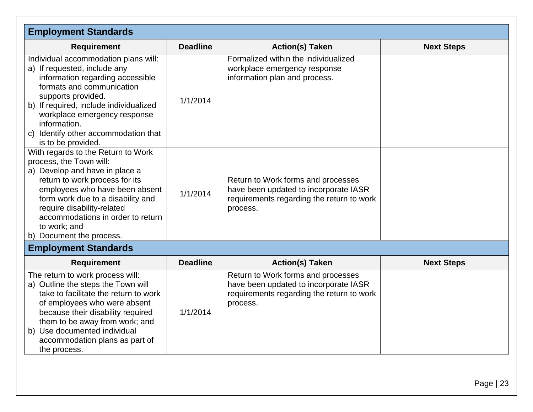| <b>Employment Standards</b>                                                                                                                                                                                                                                                                                             |                 |                                                                                                                                      |                   |
|-------------------------------------------------------------------------------------------------------------------------------------------------------------------------------------------------------------------------------------------------------------------------------------------------------------------------|-----------------|--------------------------------------------------------------------------------------------------------------------------------------|-------------------|
| <b>Requirement</b>                                                                                                                                                                                                                                                                                                      | <b>Deadline</b> | <b>Action(s) Taken</b>                                                                                                               | <b>Next Steps</b> |
| Individual accommodation plans will:<br>a) If requested, include any<br>information regarding accessible<br>formats and communication<br>supports provided.<br>b) If required, include individualized<br>workplace emergency response<br>information.<br>c) Identify other accommodation that<br>is to be provided.     | 1/1/2014        | Formalized within the individualized<br>workplace emergency response<br>information plan and process.                                |                   |
| With regards to the Return to Work<br>process, the Town will:<br>a) Develop and have in place a<br>return to work process for its<br>employees who have been absent<br>form work due to a disability and<br>require disability-related<br>accommodations in order to return<br>to work; and<br>b) Document the process. | 1/1/2014        | Return to Work forms and processes<br>have been updated to incorporate IASR<br>requirements regarding the return to work<br>process. |                   |
| <b>Employment Standards</b>                                                                                                                                                                                                                                                                                             |                 |                                                                                                                                      |                   |
| <b>Requirement</b>                                                                                                                                                                                                                                                                                                      | <b>Deadline</b> | <b>Action(s) Taken</b>                                                                                                               | <b>Next Steps</b> |
| The return to work process will:<br>a) Outline the steps the Town will<br>take to facilitate the return to work<br>of employees who were absent<br>because their disability required<br>them to be away from work; and<br>b) Use documented individual<br>accommodation plans as part of<br>the process.                | 1/1/2014        | Return to Work forms and processes<br>have been updated to incorporate IASR<br>requirements regarding the return to work<br>process. |                   |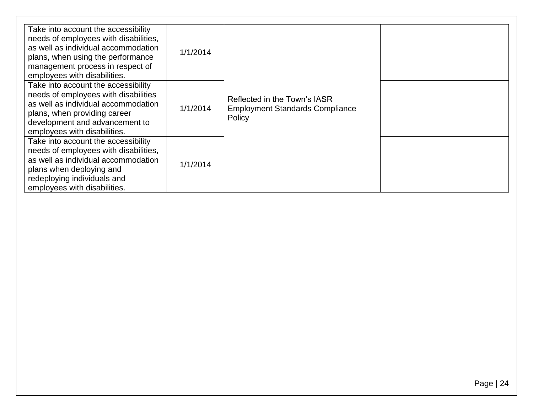| Take into account the accessibility<br>needs of employees with disabilities,<br>as well as individual accommodation<br>plans, when using the performance<br>management process in respect of<br>employees with disabilities. | 1/1/2014 |                                                                                  |  |
|------------------------------------------------------------------------------------------------------------------------------------------------------------------------------------------------------------------------------|----------|----------------------------------------------------------------------------------|--|
| Take into account the accessibility<br>needs of employees with disabilities<br>as well as individual accommodation<br>plans, when providing career<br>development and advancement to<br>employees with disabilities.         | 1/1/2014 | Reflected in the Town's IASR<br><b>Employment Standards Compliance</b><br>Policy |  |
| Take into account the accessibility<br>needs of employees with disabilities,<br>as well as individual accommodation<br>plans when deploying and<br>redeploying individuals and<br>employees with disabilities.               | 1/1/2014 |                                                                                  |  |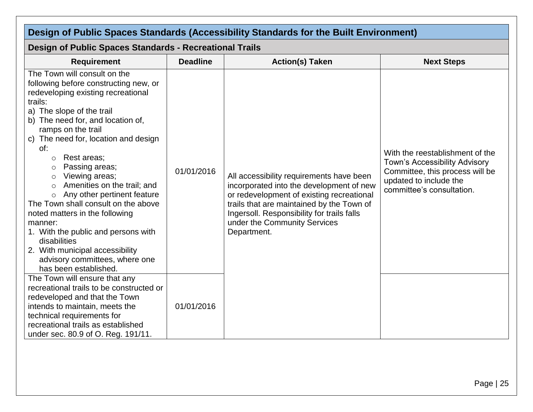<span id="page-24-1"></span><span id="page-24-0"></span>

| Design of Public Spaces Standards (Accessibility Standards for the Built Environment)                                                                                                                                                                                                                                                                                                                                                                                                                                                                                                                                                                                          |                 |                                                                                                                                                                                                                                                                             |                                                                                                                                                                   |
|--------------------------------------------------------------------------------------------------------------------------------------------------------------------------------------------------------------------------------------------------------------------------------------------------------------------------------------------------------------------------------------------------------------------------------------------------------------------------------------------------------------------------------------------------------------------------------------------------------------------------------------------------------------------------------|-----------------|-----------------------------------------------------------------------------------------------------------------------------------------------------------------------------------------------------------------------------------------------------------------------------|-------------------------------------------------------------------------------------------------------------------------------------------------------------------|
| <b>Design of Public Spaces Standards - Recreational Trails</b>                                                                                                                                                                                                                                                                                                                                                                                                                                                                                                                                                                                                                 |                 |                                                                                                                                                                                                                                                                             |                                                                                                                                                                   |
| <b>Requirement</b>                                                                                                                                                                                                                                                                                                                                                                                                                                                                                                                                                                                                                                                             | <b>Deadline</b> | <b>Action(s) Taken</b>                                                                                                                                                                                                                                                      | <b>Next Steps</b>                                                                                                                                                 |
| The Town will consult on the<br>following before constructing new, or<br>redeveloping existing recreational<br>trails:<br>a) The slope of the trail<br>b) The need for, and location of,<br>ramps on the trail<br>c) The need for, location and design<br>of:<br>Rest areas;<br>$\circ$<br>Passing areas;<br>$\circ$<br>Viewing areas;<br>$\circ$<br>Amenities on the trail; and<br>$\circ$<br>Any other pertinent feature<br>$\circ$<br>The Town shall consult on the above<br>noted matters in the following<br>manner:<br>1. With the public and persons with<br>disabilities<br>2. With municipal accessibility<br>advisory committees, where one<br>has been established. | 01/01/2016      | All accessibility requirements have been<br>incorporated into the development of new<br>or redevelopment of existing recreational<br>trails that are maintained by the Town of<br>Ingersoll. Responsibility for trails falls<br>under the Community Services<br>Department. | With the reestablishment of the<br><b>Town's Accessibility Advisory</b><br>Committee, this process will be<br>updated to include the<br>committee's consultation. |
| The Town will ensure that any<br>recreational trails to be constructed or<br>redeveloped and that the Town<br>intends to maintain, meets the<br>technical requirements for<br>recreational trails as established<br>under sec. 80.9 of O. Reg. 191/11.                                                                                                                                                                                                                                                                                                                                                                                                                         | 01/01/2016      |                                                                                                                                                                                                                                                                             |                                                                                                                                                                   |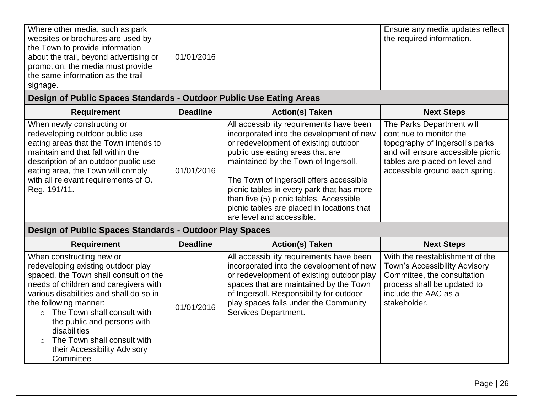| Where other media, such as park<br>websites or brochures are used by<br>the Town to provide information<br>about the trail, beyond advertising or<br>promotion, the media must provide<br>the same information as the trail<br>signage. | 01/01/2016 |  | Ensure any media updates reflect<br>the required information. |
|-----------------------------------------------------------------------------------------------------------------------------------------------------------------------------------------------------------------------------------------|------------|--|---------------------------------------------------------------|
|-----------------------------------------------------------------------------------------------------------------------------------------------------------------------------------------------------------------------------------------|------------|--|---------------------------------------------------------------|

## **Design of Public Spaces Standards - Outdoor Public Use Eating Areas**

| <b>Requirement</b>                                                                                                                                                                                                                                                               | <b>Deadline</b> | <b>Action(s) Taken</b>                                                                                                                                                                                                                                                                                                                                                                                                 | <b>Next Steps</b>                                                                                                                                                                                |
|----------------------------------------------------------------------------------------------------------------------------------------------------------------------------------------------------------------------------------------------------------------------------------|-----------------|------------------------------------------------------------------------------------------------------------------------------------------------------------------------------------------------------------------------------------------------------------------------------------------------------------------------------------------------------------------------------------------------------------------------|--------------------------------------------------------------------------------------------------------------------------------------------------------------------------------------------------|
| When newly constructing or<br>redeveloping outdoor public use<br>eating areas that the Town intends to<br>maintain and that fall within the<br>description of an outdoor public use<br>eating area, the Town will comply<br>with all relevant requirements of O.<br>Reg. 191/11. | 01/01/2016      | All accessibility requirements have been<br>incorporated into the development of new<br>or redevelopment of existing outdoor<br>public use eating areas that are<br>maintained by the Town of Ingersoll.<br>The Town of Ingersoll offers accessible<br>picnic tables in every park that has more<br>than five (5) picnic tables. Accessible<br>picnic tables are placed in locations that<br>are level and accessible. | The Parks Department will<br>continue to monitor the<br>topography of Ingersoll's parks<br>and will ensure accessible picnic<br>tables are placed on level and<br>accessible ground each spring. |

## <span id="page-25-0"></span>**Design of Public Spaces Standards - Outdoor Play Spaces**

<span id="page-25-1"></span>

| <b>Requirement</b>                                                                                                                                                                                                                                                                                                                                                                             | <b>Deadline</b> | <b>Action(s) Taken</b>                                                                                                                                                                                                                                                                   | <b>Next Steps</b>                                                                                                                                                             |
|------------------------------------------------------------------------------------------------------------------------------------------------------------------------------------------------------------------------------------------------------------------------------------------------------------------------------------------------------------------------------------------------|-----------------|------------------------------------------------------------------------------------------------------------------------------------------------------------------------------------------------------------------------------------------------------------------------------------------|-------------------------------------------------------------------------------------------------------------------------------------------------------------------------------|
| When constructing new or<br>redeveloping existing outdoor play<br>spaced, the Town shall consult on the<br>needs of children and caregivers with<br>various disabilities and shall do so in<br>the following manner:<br>$\circ$ The Town shall consult with<br>the public and persons with<br>disabilities<br>$\circ$ The Town shall consult with<br>their Accessibility Advisory<br>Committee | 01/01/2016      | All accessibility requirements have been<br>incorporated into the development of new<br>or redevelopment of existing outdoor play<br>spaces that are maintained by the Town<br>of Ingersoll. Responsibility for outdoor<br>play spaces falls under the Community<br>Services Department. | With the reestablishment of the<br><b>Town's Accessibility Advisory</b><br>Committee, the consultation<br>process shall be updated to<br>include the AAC as a<br>stakeholder. |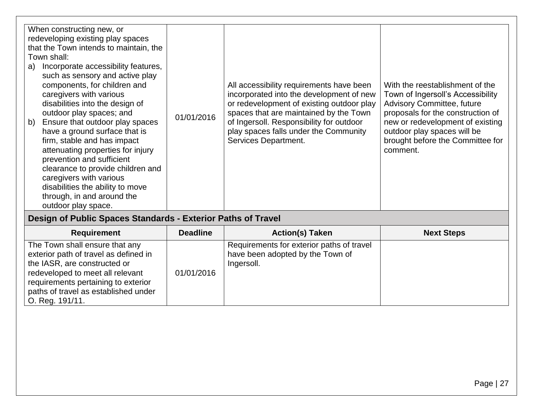| such as sensory and active play<br>components, for children and<br>With the reestablishment of the<br>All accessibility requirements have been<br>caregivers with various<br>incorporated into the development of new<br>or redevelopment of existing outdoor play<br><b>Advisory Committee, future</b><br>disabilities into the design of<br>outdoor play spaces; and<br>spaces that are maintained by the Town<br>01/01/2016<br>of Ingersoll. Responsibility for outdoor<br>b)<br>Ensure that outdoor play spaces<br>have a ground surface that is<br>play spaces falls under the Community<br>outdoor play spaces will be<br>Services Department.<br>firm, stable and has impact<br>attenuating properties for injury<br>comment.<br>prevention and sufficient<br>clearance to provide children and<br>caregivers with various<br>disabilities the ability to move<br>through, in and around the<br>outdoor play space. | When constructing new, or<br>redeveloping existing play spaces<br>that the Town intends to maintain, the<br>Town shall:<br>Incorporate accessibility features,<br>a) |  |  | Town of Ingersoll's Accessibility<br>proposals for the construction of<br>new or redevelopment of existing<br>brought before the Committee for |
|----------------------------------------------------------------------------------------------------------------------------------------------------------------------------------------------------------------------------------------------------------------------------------------------------------------------------------------------------------------------------------------------------------------------------------------------------------------------------------------------------------------------------------------------------------------------------------------------------------------------------------------------------------------------------------------------------------------------------------------------------------------------------------------------------------------------------------------------------------------------------------------------------------------------------|----------------------------------------------------------------------------------------------------------------------------------------------------------------------|--|--|------------------------------------------------------------------------------------------------------------------------------------------------|
|----------------------------------------------------------------------------------------------------------------------------------------------------------------------------------------------------------------------------------------------------------------------------------------------------------------------------------------------------------------------------------------------------------------------------------------------------------------------------------------------------------------------------------------------------------------------------------------------------------------------------------------------------------------------------------------------------------------------------------------------------------------------------------------------------------------------------------------------------------------------------------------------------------------------------|----------------------------------------------------------------------------------------------------------------------------------------------------------------------|--|--|------------------------------------------------------------------------------------------------------------------------------------------------|

## **Design of Public Spaces Standards - Exterior Paths of Travel**

<span id="page-26-0"></span>

| <b>Requirement</b>                                                                                                                                                                                                                            | <b>Deadline</b> | <b>Action(s) Taken</b>                                                                      | <b>Next Steps</b> |
|-----------------------------------------------------------------------------------------------------------------------------------------------------------------------------------------------------------------------------------------------|-----------------|---------------------------------------------------------------------------------------------|-------------------|
| The Town shall ensure that any<br>exterior path of travel as defined in<br>the IASR, are constructed or<br>redeveloped to meet all relevant<br>requirements pertaining to exterior<br>paths of travel as established under<br>O. Reg. 191/11. | 01/01/2016      | Requirements for exterior paths of travel<br>have been adopted by the Town of<br>Ingersoll. |                   |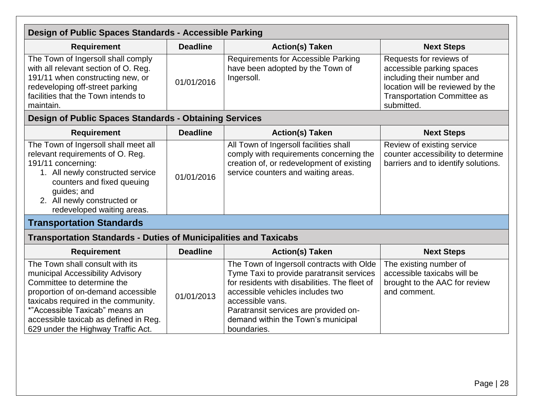<span id="page-27-3"></span><span id="page-27-2"></span><span id="page-27-1"></span><span id="page-27-0"></span>

| Design of Public Spaces Standards - Accessible Parking                                                                                                                                                                                                                                          |                 |                                                                                                                                                                                                                                                                                               |                                                                                                                                                                            |
|-------------------------------------------------------------------------------------------------------------------------------------------------------------------------------------------------------------------------------------------------------------------------------------------------|-----------------|-----------------------------------------------------------------------------------------------------------------------------------------------------------------------------------------------------------------------------------------------------------------------------------------------|----------------------------------------------------------------------------------------------------------------------------------------------------------------------------|
| <b>Requirement</b>                                                                                                                                                                                                                                                                              | <b>Deadline</b> | <b>Action(s) Taken</b>                                                                                                                                                                                                                                                                        | <b>Next Steps</b>                                                                                                                                                          |
| The Town of Ingersoll shall comply<br>with all relevant section of O. Reg.<br>191/11 when constructing new, or<br>redeveloping off-street parking<br>facilities that the Town intends to<br>maintain.                                                                                           | 01/01/2016      | <b>Requirements for Accessible Parking</b><br>have been adopted by the Town of<br>Ingersoll.                                                                                                                                                                                                  | Requests for reviews of<br>accessible parking spaces<br>including their number and<br>location will be reviewed by the<br><b>Transportation Committee as</b><br>submitted. |
| <b>Design of Public Spaces Standards - Obtaining Services</b>                                                                                                                                                                                                                                   |                 |                                                                                                                                                                                                                                                                                               |                                                                                                                                                                            |
| <b>Requirement</b>                                                                                                                                                                                                                                                                              | <b>Deadline</b> | <b>Action(s) Taken</b>                                                                                                                                                                                                                                                                        | <b>Next Steps</b>                                                                                                                                                          |
| The Town of Ingersoll shall meet all<br>relevant requirements of O. Reg.<br>191/11 concerning:<br>1. All newly constructed service<br>counters and fixed queuing<br>guides; and<br>2. All newly constructed or<br>redeveloped waiting areas.                                                    | 01/01/2016      | All Town of Ingersoll facilities shall<br>comply with requirements concerning the<br>creation of, or redevelopment of existing<br>service counters and waiting areas.                                                                                                                         | Review of existing service<br>counter accessibility to determine<br>barriers and to identify solutions.                                                                    |
| <b>Transportation Standards</b>                                                                                                                                                                                                                                                                 |                 |                                                                                                                                                                                                                                                                                               |                                                                                                                                                                            |
| <b>Transportation Standards - Duties of Municipalities and Taxicabs</b>                                                                                                                                                                                                                         |                 |                                                                                                                                                                                                                                                                                               |                                                                                                                                                                            |
| <b>Requirement</b>                                                                                                                                                                                                                                                                              | <b>Deadline</b> | <b>Action(s) Taken</b>                                                                                                                                                                                                                                                                        | <b>Next Steps</b>                                                                                                                                                          |
| The Town shall consult with its<br>municipal Accessibility Advisory<br>Committee to determine the<br>proportion of on-demand accessible<br>taxicabs required in the community.<br>*"Accessible Taxicab" means an<br>accessible taxicab as defined in Reg.<br>629 under the Highway Traffic Act. | 01/01/2013      | The Town of Ingersoll contracts with Olde<br>Tyme Taxi to provide paratransit services<br>for residents with disabilities. The fleet of<br>accessible vehicles includes two<br>accessible vans.<br>Paratransit services are provided on-<br>demand within the Town's municipal<br>boundaries. | The existing number of<br>accessible taxicabs will be<br>brought to the AAC for review<br>and comment.                                                                     |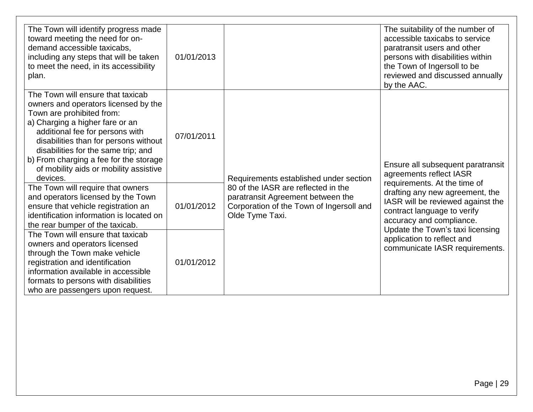| The Town will identify progress made<br>toward meeting the need for on-<br>demand accessible taxicabs,<br>including any steps that will be taken<br>to meet the need, in its accessibility<br>plan.                                                                                                                                                          | 01/01/2013 |                                                                                                                                         | The suitability of the number of<br>accessible taxicabs to service<br>paratransit users and other<br>persons with disabilities within<br>the Town of Ingersoll to be<br>reviewed and discussed annually<br>by the AAC. |
|--------------------------------------------------------------------------------------------------------------------------------------------------------------------------------------------------------------------------------------------------------------------------------------------------------------------------------------------------------------|------------|-----------------------------------------------------------------------------------------------------------------------------------------|------------------------------------------------------------------------------------------------------------------------------------------------------------------------------------------------------------------------|
| The Town will ensure that taxicab<br>owners and operators licensed by the<br>Town are prohibited from:<br>a) Charging a higher fare or an<br>additional fee for persons with<br>disabilities than for persons without<br>disabilities for the same trip; and<br>b) From charging a fee for the storage<br>of mobility aids or mobility assistive<br>devices. | 07/01/2011 | Requirements established under section                                                                                                  | Ensure all subsequent paratransit<br>agreements reflect IASR                                                                                                                                                           |
| The Town will require that owners<br>and operators licensed by the Town<br>ensure that vehicle registration an<br>identification information is located on<br>the rear bumper of the taxicab.                                                                                                                                                                | 01/01/2012 | 80 of the IASR are reflected in the<br>paratransit Agreement between the<br>Corporation of the Town of Ingersoll and<br>Olde Tyme Taxi. | requirements. At the time of<br>drafting any new agreement, the<br>IASR will be reviewed against the<br>contract language to verify<br>accuracy and compliance.                                                        |
| The Town will ensure that taxicab<br>owners and operators licensed<br>through the Town make vehicle<br>registration and identification<br>information available in accessible<br>formats to persons with disabilities<br>who are passengers upon request.                                                                                                    | 01/01/2012 |                                                                                                                                         | Update the Town's taxi licensing<br>application to reflect and<br>communicate IASR requirements.                                                                                                                       |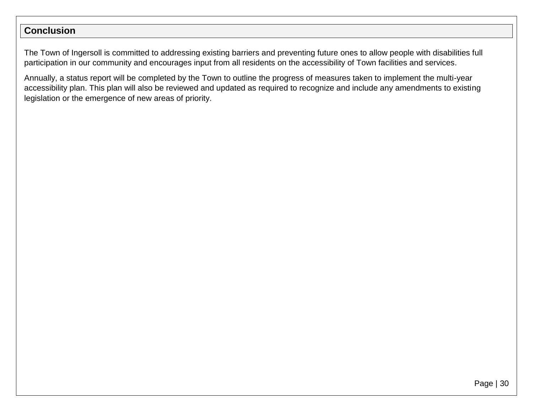#### **Conclusion**

The Town of Ingersoll is committed to addressing existing barriers and preventing future ones to allow people with disabilities full participation in our community and encourages input from all residents on the accessibility of Town facilities and services.

<span id="page-29-0"></span>Annually, a status report will be completed by the Town to outline the progress of measures taken to implement the multi-year accessibility plan. This plan will also be reviewed and updated as required to recognize and include any amendments to existing legislation or the emergence of new areas of priority.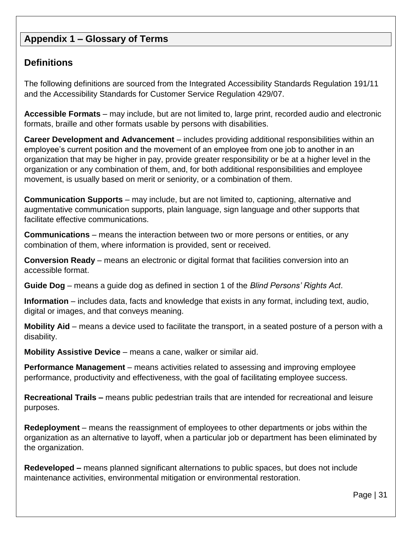#### <span id="page-30-0"></span>**Appendix 1 – Glossary of Terms**

#### <span id="page-30-1"></span>**Definitions**

The following definitions are sourced from the Integrated Accessibility Standards Regulation 191/11 and the Accessibility Standards for Customer Service Regulation 429/07.

**Accessible Formats** – may include, but are not limited to, large print, recorded audio and electronic formats, braille and other formats usable by persons with disabilities.

**Career Development and Advancement** – includes providing additional responsibilities within an employee's current position and the movement of an employee from one job to another in an organization that may be higher in pay, provide greater responsibility or be at a higher level in the organization or any combination of them, and, for both additional responsibilities and employee movement, is usually based on merit or seniority, or a combination of them.

**Communication Supports** – may include, but are not limited to, captioning, alternative and augmentative communication supports, plain language, sign language and other supports that facilitate effective communications.

**Communications** – means the interaction between two or more persons or entities, or any combination of them, where information is provided, sent or received.

**Conversion Ready** – means an electronic or digital format that facilities conversion into an accessible format.

**Guide Dog** – means a guide dog as defined in section 1 of the *Blind Persons' Rights Act*.

**Information** – includes data, facts and knowledge that exists in any format, including text, audio, digital or images, and that conveys meaning.

**Mobility Aid** – means a device used to facilitate the transport, in a seated posture of a person with a disability.

**Mobility Assistive Device** – means a cane, walker or similar aid.

**Performance Management** – means activities related to assessing and improving employee performance, productivity and effectiveness, with the goal of facilitating employee success.

**Recreational Trails –** means public pedestrian trails that are intended for recreational and leisure purposes.

**Redeployment** – means the reassignment of employees to other departments or jobs within the organization as an alternative to layoff, when a particular job or department has been eliminated by the organization.

**Redeveloped –** means planned significant alternations to public spaces, but does not include maintenance activities, environmental mitigation or environmental restoration.